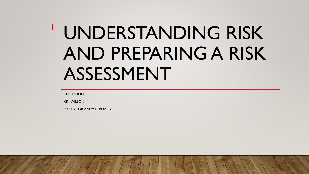# UNDERSTANDING RISK AND PREPARING A RISK ASSESSMENT

CLE SESSION

1

KIM WILSON

SUPERVISOR AML/ATF BOARD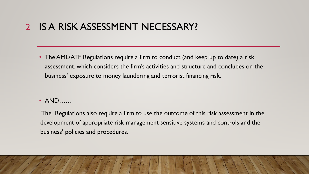#### IS A RISK ASSESSMENT NECESSARY?  $\overline{2}$

• The AML/ATF Regulations require a firm to conduct (and keep up to date) a risk assessment, which considers the firm's activities and structure and concludes on the business' exposure to money laundering and terrorist financing risk.

### • AND……

The Regulations also require a firm to use the outcome of this risk assessment in the development of appropriate risk management sensitive systems and controls and the business' policies and procedures.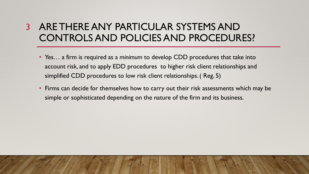## ARE THERE ANY PARTICULAR SYSTEMS AND 3CONTROLS AND POLICIES AND PROCEDURES?

- Yes… a firm is required as a *minimum* to develop CDD procedures that take into account risk, and to apply EDD procedures to higher risk client relationships and simplified CDD procedures to low risk client relationships. ( Reg. 5)
- Firms can decide for themselves how to carry out their risk assessments which may be simple or sophisticated depending on the nature of the firm and its business.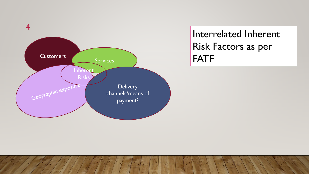

Interrelated Inherent Risk Factors as per FATF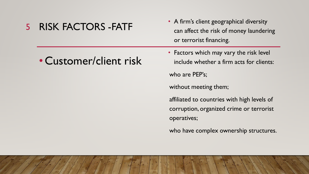### RISK FACTORS -FATF 5

• A firm's client geographical diversity can affect the risk of money laundering or terrorist financing.

• Customer/client risk

• Factors which may vary the risk level include whether a firm acts for clients:

who are PEP's;

without meeting them;

affiliated to countries with high levels of corruption, organized crime or terrorist operatives;

who have complex ownership structures.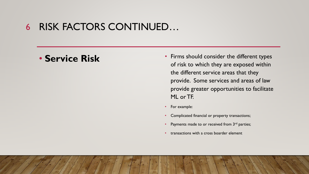#### RISK FACTORS CONTINUED… 6

- **Service Risk** Firms should consider the different types of risk to which they are exposed within the different service areas that they provide. Some services and areas of law provide greater opportunities to facilitate ML or TF.
	- For example:
	- Complicated financial or property transactions;
	- Payments made to or received from  $3<sup>rd</sup>$  parties;
	- transactions with a cross boarder element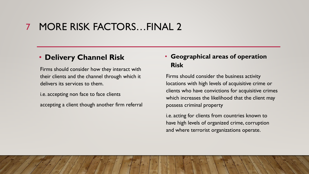#### MORE RISK FACTORS…FINAL 2 7

### • **Delivery Channel Risk**

Firms should consider how they interact with their clients and the channel through which it delivers its services to them.

i.e. accepting non face to face clients

accepting a client though another firm referral

### • **Geographical areas of operation Risk**

Firms should consider the business activity locations with high levels of acquisitive crime or clients who have convictions for acquisitive crimes which increases the likelihood that the client may possess criminal property

i.e. acting for clients from countries known to have high levels of organized crime, corruption and where terrorist organizations operate.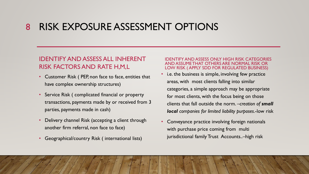#### RISK EXPOSURE ASSESSMENT OPTIONS 8

### IDENTIFY AND ASSESS ALL INHERENT RISK FACTORS AND RATE H,M,L

- Customer Risk ( PEP, non face to face, entities that have complex ownership structures)
- Service Risk (complicated financial or property transactions, payments made by or received from 3 parties, payments made in cash)
- Delivery channel Risk (accepting a client through another firm referral, non face to face)
- Geographical/country Risk ( international lists)

#### IDENTIFY AND ASSESS ONLY HIGH RISK CATEGORIES AND ASSUME THAT OTHERS ARE NORMAL RISK OR LOW RISK ( APPLY SDD FOR REGULATED BUSINESS)

- i.e. the business is simple, involving few practice areas, with most clients falling into similar categories, a simple approach may be appropriate for most clients, with the focus being on those clients that fall outside the norm. –*creation of small local companies for limited liability purposes*.-low risk
- Conveyance practice involving foreign nationals with purchase price coming from multi jurisdictional family Trust Accounts..–high risk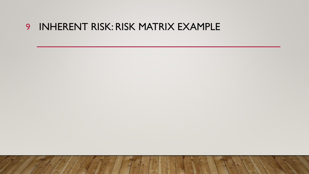### INHERENT RISK: RISK MATRIX EXAMPLE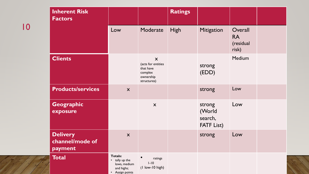| <b>Inherent Risk</b><br><b>Factors</b>        |                                                                                   |                                                                             | <b>Ratings</b> |                                                  |                                            |  |
|-----------------------------------------------|-----------------------------------------------------------------------------------|-----------------------------------------------------------------------------|----------------|--------------------------------------------------|--------------------------------------------|--|
|                                               | Low                                                                               | Moderate                                                                    | <b>High</b>    | Mitigation                                       | Overall<br><b>RA</b><br>(residual<br>risk) |  |
| <b>Clients</b>                                |                                                                                   | X<br>(acts for entities<br>that have<br>complex<br>ownership<br>structures) |                | strong<br>(EDD)                                  | Medium                                     |  |
| <b>Products/services</b>                      | X                                                                                 |                                                                             |                | strong                                           | Low                                        |  |
| Geographic<br>exposure                        |                                                                                   | $\mathsf{X}$                                                                |                | strong<br>(World<br>search,<br><b>FATF List)</b> | Low                                        |  |
| <b>Delivery</b><br>channel/mode of<br>payment | $\mathsf{X}$                                                                      |                                                                             |                | strong                                           | Low                                        |  |
| <b>Total</b>                                  | <b>Totals:</b><br>• tally up the<br>lows, medium<br>and highs;<br>• Assign points | $\bullet$<br>ratings<br>$I-I0$<br>(I low-10 high)                           |                |                                                  |                                            |  |

10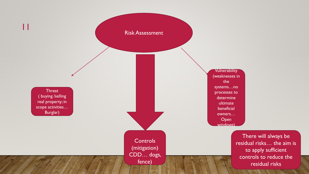